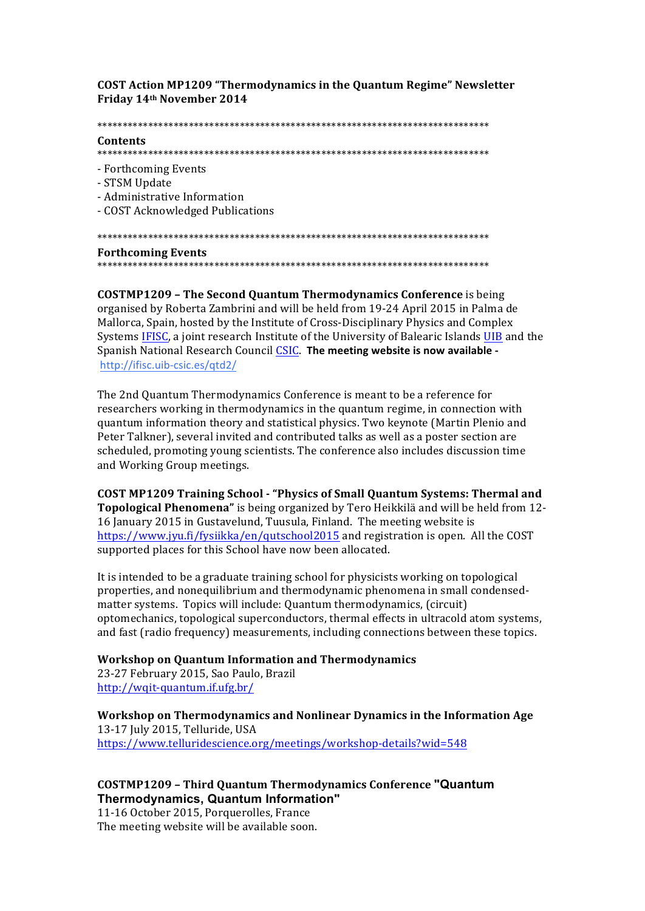**COST Action MP1209 "Thermodynamics in the Quantum Regime" Newsletter** Friday 14th November 2014

## Contents

- Forthcoming Events
- STSM Undate
- Administrative Information
- COST Acknowledged Publications

# **Forthcoming Events**

**COSTMP1209 - The Second Quantum Thermodynamics Conference** is being organised by Roberta Zambrini and will be held from 19-24 April 2015 in Palma de Mallorca, Spain, hosted by the Institute of Cross-Disciplinary Physics and Complex Systems IFISC, a joint research Institute of the University of Balearic Islands UIB and the Spanish National Research Council CSIC. The meeting website is now available http://ifisc.uib-csic.es/qtd2/

The 2nd Quantum Thermodynamics Conference is meant to be a reference for researchers working in thermodynamics in the quantum regime, in connection with quantum information theory and statistical physics. Two keynote (Martin Plenio and Peter Talkner), several invited and contributed talks as well as a poster section are scheduled, promoting young scientists. The conference also includes discussion time and Working Group meetings.

COST MP1209 Training School - "Physics of Small Quantum Systems: Thermal and Topological Phenomena" is being organized by Tero Heikkilä and will be held from 12-16 January 2015 in Gustavelund, Tuusula, Finland. The meeting website is https://www.jyu.fi/fysiikka/en/qutschool2015 and registration is open. All the COST supported places for this School have now been allocated.

It is intended to be a graduate training school for physicists working on topological properties, and nonequilibrium and thermodynamic phenomena in small condensedmatter systems. Topics will include: Quantum thermodynamics, (circuit) optomechanics, topological superconductors, thermal effects in ultracold atom systems, and fast (radio frequency) measurements, including connections between these topics.

**Workshop on Quantum Information and Thermodynamics** 

23-27 February 2015, Sao Paulo, Brazil http://wqit-quantum.if.ufg.br/

Workshop on Thermodynamics and Nonlinear Dynamics in the Information Age 13-17 July 2015, Telluride, USA https://www.telluridescience.org/meetings/workshop-details?wid=548

# **COSTMP1209 - Third Quantum Thermodynamics Conference "Quantum** Thermodynamics, Quantum Information"

11-16 October 2015, Porquerolles, France The meeting website will be available soon.